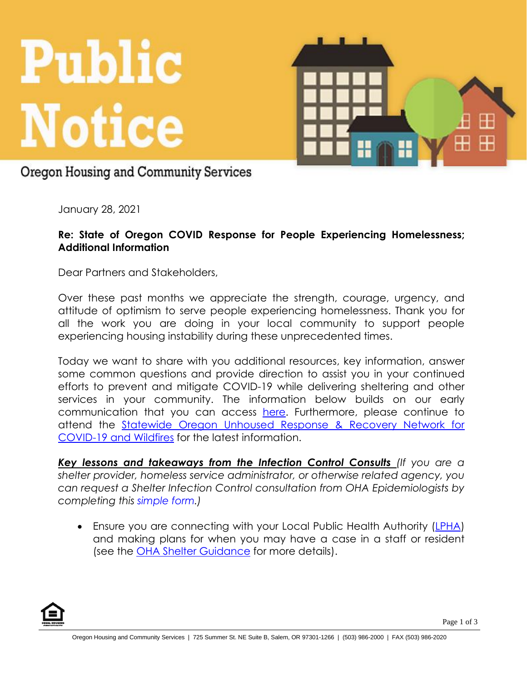



## Oregon Housing and Community Services

January 28, 2021

## **Re: State of Oregon COVID Response for People Experiencing Homelessness; Additional Information**

Dear Partners and Stakeholders,

Over these past months we appreciate the strength, courage, urgency, and attitude of optimism to serve people experiencing homelessness. Thank you for all the work you are doing in your local community to support people experiencing housing instability during these unprecedented times.

Today we want to share with you additional resources, key information, answer some common questions and provide direction to assist you in your continued efforts to prevent and mitigate COVID-19 while delivering sheltering and other services in your community. The information below builds on our early communication that you can access [here.](https://www.oregon.gov/ohcs/for-providers/Documents/TAs/12-10-2020-Notice-Shelters-Toolkit.pdf) Furthermore, please continue to attend the [Statewide Oregon Unhoused Response & Recovery Network for](https://www.oregon.gov/ohcs/get-involved/Pages/oregon-unhoused-response-recovery-network-covid-19-wildfires.aspx)  [COVID-19 and Wildfires](https://www.oregon.gov/ohcs/get-involved/Pages/oregon-unhoused-response-recovery-network-covid-19-wildfires.aspx) for the latest information.

*Key lessons and takeaways from the Infection Control Consults (If you are a shelter provider, homeless service administrator, or otherwise related agency, you can request a Shelter Infection Control consultation from OHA Epidemiologists by completing this [simple form.](https://app.smartsheet.com/b/form/a3bb7e03fba6431988ce1d77cd306229))*

• Ensure you are connecting with your Local Public Health Authority [\(LPHA\)](https://www.oregon.gov/oha/PH/DiseasesConditions/CommunicableDisease/ReportingCommunicableDisease/Documents/reportdisease.pdf) and making plans for when you may have a case in a staff or resident (see the [OHA Shelter Guidance](https://sharedsystems.dhsoha.state.or.us/DHSForms/Served/le2256.pdf) for more details).



Page 1 of 3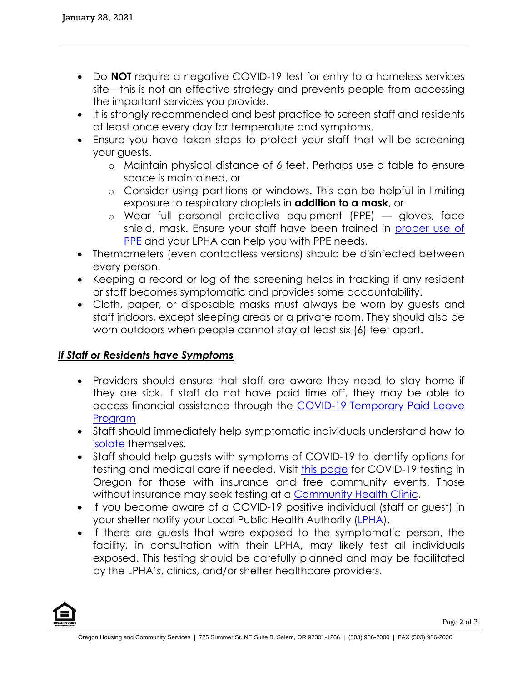- Do **NOT** require a negative COVID-19 test for entry to a homeless services site—this is not an effective strategy and prevents people from accessing the important services you provide.
- It is strongly recommended and best practice to screen staff and residents at least once every day for temperature and symptoms.
- Ensure you have taken steps to protect your staff that will be screening your guests.
	- o Maintain physical distance of 6 feet. Perhaps use a table to ensure space is maintained, or
	- o Consider using partitions or windows. This can be helpful in limiting exposure to respiratory droplets in **addition to a mask**, or
	- o Wear full personal protective equipment (PPE) gloves, face shield, mask. Ensure your staff have been trained in [proper use of](https://www.cdc.gov/hai/pdfs/ppe/ppe-sequence.pdf)  [PPE](https://www.cdc.gov/hai/pdfs/ppe/ppe-sequence.pdf) and your LPHA can help you with PPE needs.
- Thermometers (even contactless versions) should be disinfected between every person.
- Keeping a record or log of the screening helps in tracking if any resident or staff becomes symptomatic and provides some accountability.
- Cloth, paper, or disposable masks must always be worn by guests and staff indoors, except sleeping areas or a private room. They should also be worn outdoors when people cannot stay at least six (6) feet apart.

## *If Staff or Residents have Symptoms*

- Providers should ensure that staff are aware they need to stay home if they are sick. If staff do not have paid time off, they may be able to access financial assistance through the COVID-19 Temporary Paid Leave **[Program](https://www.oregon.gov/covidpaidleave)**
- Staff should immediately help symptomatic individuals understand how to [isolate](https://sharedsystems.dhsoha.state.or.us/DHSForms/Served/le2388A.pdf) themselves.
- Staff should help guests with symptoms of COVID-19 to identify options for testing and medical care if needed. Visit [this page](https://govstatus.egov.com/or-oha-covid-19-testing) for COVID-19 testing in Oregon for those with insurance and free community events. Those without insurance may seek testing at a [Community Health Clinic.](https://www.orpca.org/chc/find-a-chc)
- If you become aware of a COVID-19 positive individual (staff or guest) in your shelter notify your Local Public Health Authority [\(LPHA\)](https://www.oregon.gov/oha/PH/DiseasesConditions/CommunicableDisease/ReportingCommunicableDisease/Documents/reportdisease.pdf).
- If there are guests that were exposed to the symptomatic person, the facility, in consultation with their LPHA, may likely test all individuals exposed. This testing should be carefully planned and may be facilitated by the LPHA's, clinics, and/or shelter healthcare providers.